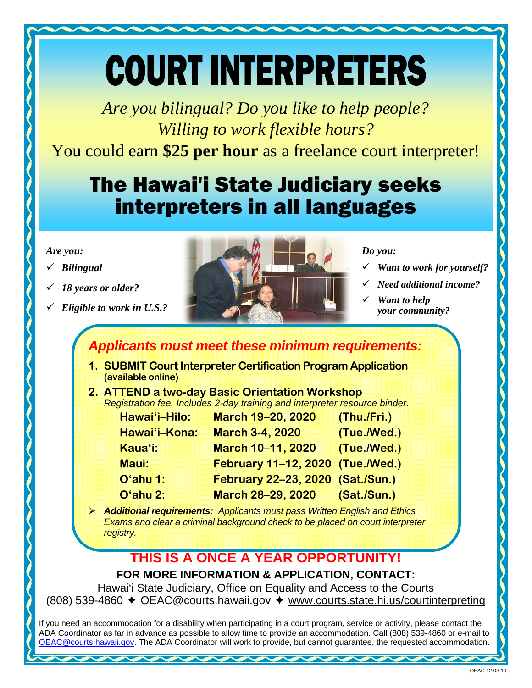# COURT INTERPRETERS

*Are you bilingual? Do you like to help people? Willing to work flexible hours?*

You could earn **\$25 per hour** as a freelance court interpreter!

## The Hawai'i State Judiciary seeks interpreters in all languages

### *Are you:*

- *Bilingual*
- *18 years or older?*
- *Eligible to work in U.S.?*



## *Do you:*

- *Want to work for yourself?*
- *Need additional income?*
- *Want to help your community?*

## *Applicants must meet these minimum requirements:*

- **1. SUBMIT Court Interpreter Certification Program Application (available online)**
- **2. ATTEND a two-day Basic Orientation Workshop**  *Registration fee. Includes 2-day training and interpreter resource binder.*

| Hawai'i-Hilo: | <b>March 19-20, 2020</b>         | (Thu./Fri.) |
|---------------|----------------------------------|-------------|
| Hawai'i-Kona: | <b>March 3-4, 2020</b>           | (Tue./Wed.) |
| Kaua'i:       | March 10-11, 2020                | (Tue./Wed.) |
| Maui:         | February 11-12, 2020 (Tue./Wed.) |             |
| O'ahu 1:      | February 22-23, 2020 (Sat./Sun.) |             |
| O'ahu 2:      | March 28-29, 2020 (Sat./Sun.)    |             |
|               |                                  |             |

 *Additional requirements: Applicants must pass Written English and Ethics Exams and clear a criminal background check to be placed on court interpreter registry.* 

## **THIS IS A ONCE A YEAR OPPORTUNITY!**

**FOR MORE INFORMATION & APPLICATION, CONTACT:** 

Hawai'i State Judiciary, Office on Equality and Access to the Courts (808) 539-4860 ✦ OEAC@courts.hawaii.gov ✦ www.courts.state.hi.us/courtinterpreting

If you need an accommodation for a disability when participating in a court program, service or activity, please contact the ADA Coordinator as far in advance as possible to allow time to provide an accommodation. Call (808) 539-4860 or e-mail to OEAC@courts.hawaii.gov. The ADA Coordinator will work to provide, but cannot guarantee, the requested accommodation.